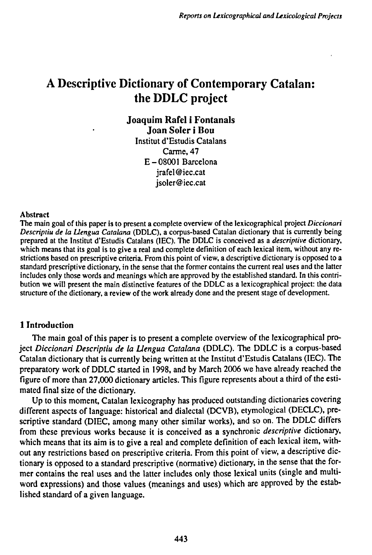# A Descriptive Dictionary of Contemporary Catalan: the DDLC project

**Joaquim Rafei i Fontanals Joan Soler i Bou** Institut d'Estudis Catalans Carme, 47 E-08001 Barcelona jrafel@iec.cat jsoler@iec.cat

#### Abstract

The main goal of this paper is to present a complete overview of the lexicographical project *Diccionari Descriptiu de la Uengua Catalana* (DDLC), a corpus-based Catalan dictionary that is currently being prepared at the Institut d'Estudis Catalans (1EC). The DDLC is conceived as a *descriptive* dictionary, which means that its goal is to give a real and complete definition of each lexical item, without any restrictions based on prescriptive criteria. From this point of view, a descriptive dictionary is opposed to a standard prescriptive dictionary, in the sense that the former contains the current real uses and the latter includes only those words and meanings which are approved by the established standard. In this contribution we will present the main distinctive features of the DDLC as a lexicographical project: the data structure of the dictionary, a review of the work already done and the present stage of development.

### <sup>1</sup> Introduction

The main goal of this paper is to present a complete overview of the lexicographical project *Diccionari Descriptiu de la Uengua Catalana* (DDLC). The DDLC is a corpus-based Catalan dictionary that is currently being written at the Institut d'Estudis Catalans (IEC). The preparatory work of DDLC started in 1998, and by March 2006 we have already reached the figure of more than 27,000 dictionary articles. This figure represents about a third of the estimated final size of the dictionary.

Up to this moment, Catalan lexicography has produced outstanding dictionaries covering different aspects of language: historical and dialectal (DCVB), etymological (DECLC), prescriptive standard (DIEC, among many other similar works), and so on. The DDLC differs from these previous works because it is conceived as a synchronic *descriptive* dictionary, which means that its aim is to give a real and complete definition of each lexical item, without any restrictions based on prescriptive criteria. From this point of view, a descriptive dictionary is opposed to a standard prescriptive (normative) dictionary, in the sense that the former contains the real uses and the latter includes only those lexical units (single and multiword expressions) and those values (meanings and uses) which are approved by the established standard of a given language.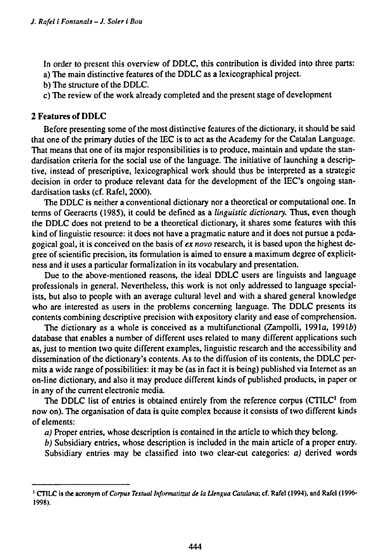In order to present this overview of DDLC, this contribution is divided into three parts: a) The main distinctive features of the DDLC as a lexicographical project.

- b) The structure of the DDLC.
- c) The review of the work already completed and the present stage of development

## **2 Features of DDLC**

Before presenting some of the most distinctive features of the dictionary, it should be said that one of the primary duties of the IEC is to act as the Academy for the Catalan Language. That means that one of its major responsibilities is to produce, maintain and update the standardisation criteria for the social use of the language. The initiative of launching a descriptive, instead of prescriptive, lexicographical work should thus be interpreted as a strategic decision in order to produce relevant data for the development of the IEC's ongoing standardisation tasks (cf. Rafel, 2000).

The DDLC is neither a conventional dictionary nor a theoretical or computational one. In terms of Geeraerts (1985), it could be defined as a *linguistic dictionary.* Thus, even though the DDLC does not pretend to be a theoretical dictionary, it shares some features with this kind of linguistic resource: it does not have a pragmatic nature and it does not pursue a pedagogical goal, it is conceived on the basis of *ex novo* research, it is based upon the highest degree of scientific precision, its formulation is aimed to ensure a maximum degree of explicitness and it uses a particular formalization in its vocabulary and presentation.

Due to the above-mentioned reasons, the ideal DDLC users are linguists and language professionals in general. Nevertheless, this work is not only addressed to language specialists, but also to people with an average cultural level and with a shared general knowledge who are interested as users in the problems concerning language. The DDLC presents its contents combining descriptive precision with expository clarity and ease of comprehension.

The dictionary as a whole is conceived as a multifunctional (Zampolli, 1991a, 1991b) database that enables a number of different uses related to many different applications such as, just to mention two quite different examples, linguistic research and the accessibility and dissemination of the dictionary's contents. As to the diffusion of its contents, the DDLC permits a wide range of possibilities: it may be (as in fact it is being) published via Internet as an on-line dictionary, and also it may produce different kinds of published products, in paper or in any of the current electronic media.

The DDLC list of entries is obtained entirely from the reference corpus  $(CTILC<sup>1</sup>$  from now on). The organisation of data is quite complex because it consists of two different kinds of elements:

*a)* Proper entries, whose description is contained in the article to which they belong.

*b)* Subsidiary entries, whose description is included in the main article of a proper entry.

Subsidiary entries may be classified into two clear-cut categories: *a)* derived words

<sup>&</sup>lt;sup>1</sup> CTILC is the acronym of Corpus Textual Informatitzat de la Llengua Catalana; cf. Rafel (1994), and Rafel (1996-**1998).**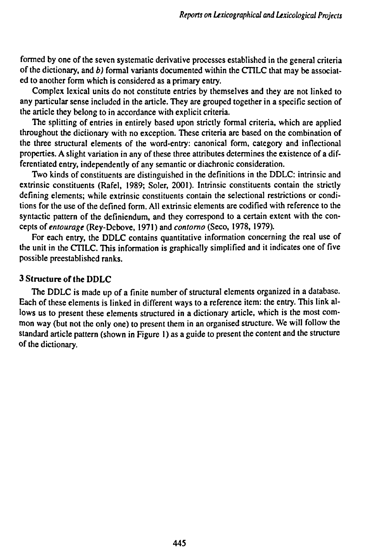formed by one of the seven systematic derivative processes established in the general criteria of the dictionary, and *b)* formal variants documented within the CTILC that may be associated to another form which is considered as a primary entry.

Complex lexical units do not constitute entries by themselves and they are not linked to any particular sense included in the article. They are grouped together in a specific section of the article they belong to in accordance with explicit criteria.

The splitting of entries in entirely based upon strictly formal criteria, which are applied throughout the dictionary with no exception. These criteria are based on the combination of the three structural elements of the word-entry: canonical form, category and inflectional properties. A slight variation in any of these three attributes determines the existence of a differentiated entry, independently of any semantic or diachronic consideration.

Two kinds of constituents are distinguished in the definitions in the DDLC: intrinsic and extrinsic constituents (Rafel, 1989; Soler, 2001). Intrinsic constituents contain the strictly defining elements; while extrinsic constituents contain the selectional restrictions or conditions for the use of the defined form. All extrinsic elements are codified with reference to the syntactic pattern of the definiendum, and they correspond to a certain extent with the concepts of *entourage* (Rey-Debove, 1971) and *contorno* (Seco, 1978, 1979).

For each entry, the DDLC contains quantitative information concerning the real use of the unit in the CTILC. This information is graphically simplified and it indicates one of five possible preestablished ranks.

### 3 Structure of **the** DDLC

The DDLC is made up of a finite number of structural elements organized in a database. Each of these elements is linked in different ways to a reference item: the entry. This link allows us to present these elements structured in a dictionary article, which is the most common way (but not the only one) to present them in an organised structure. We will follow the standard article pattern (shown in Figure 1) as a guide to present the content and the structure of the dictionary.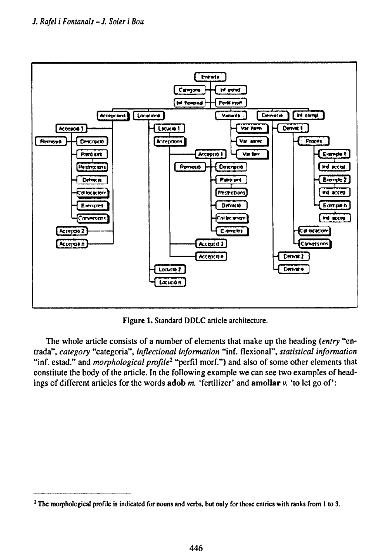

**Figure 1.** Standard DDLC article architecture.

The whole article consists of a number of elements that make up the heading *(entry* "entrada", *category* "categoria", *inflectional information* "inf. flexional", *statistical information* "inf. estad." and *morphological profile<sup>2</sup>* "perfil morf.") and also of some other elements that constitute the body of the article. In the following example we can see two examples of headings of different articles for the words **adob** *m.* 'fertilizer' and **amollar** v. 'to let go of:

<sup>&</sup>lt;sup>2</sup> The morphological profile is indicated for nouns and verbs, but only for those entries with ranks from 1 to 3.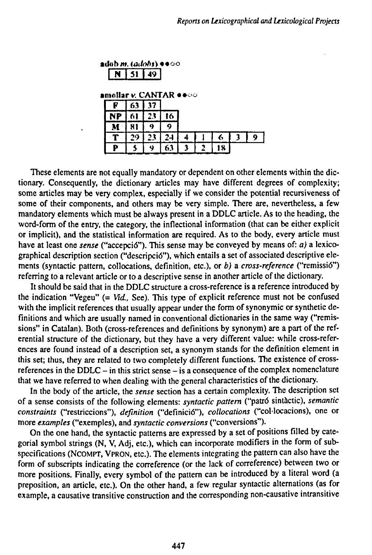«dob *m. (adobti* ••oo N 51 49

**amollar v. CANTAR**  $\bullet\bullet\circ\circ$ 

| R | 63   37 |                 |              |  |   |    |
|---|---------|-----------------|--------------|--|---|----|
|   | $NP$ 61 | $\overline{23}$ | $ 16\rangle$ |  |   |    |
|   | 81      |                 |              |  |   |    |
|   | 29.     | $\overline{23}$ | 24           |  | 6 | -9 |
|   |         |                 |              |  |   |    |

These elements are not equally mandatory or dependent on other elements within the dictionary. Consequently, the dictionary articles may have different degrees of complexity; some articles may be very complex, especially if we consider the potential recursiveness of some of their components, and others may be very simple. There are, nevertheless, a few mandatory elements which must be always present in a DDLC article. As to the heading, the word-form of the entry, the category, the inflectional information (that can be either explicit or implicit), and the statistical information are required. As to the body, every article must have at least one *sense* ("accepció"). This sense may be conveyed by means of: *a)* a lexicographical description section ("descripció"), which entails a set of associated descriptive elements (syntactic pattern, collocations, definition, etc.), or *b)* a *cross-reference* ("remissió") referring to a relevant article or to a descriptive sense in another article of the dictionary.

It should be said that in the DDLC structure a cross-reference is a reference introduced by the indication "Vegeu" (= *Vid,* See). This type of explicit reference must not be confused with the implicit references that usually appear under the form of synonymic or synthetic definitions and which are usually named in conventional dictionaries in the same way ("remissions" in Catalan). Both (cross-references and definitions by synonym) are a part of the referential structure of the dictionary, but they have a very different value: while cross-references are found instead of a description set, a synonym stands for the definition element in this set; thus, they are related to two completely different functions. The existence of crossreferences in the DDLC - in this strict sense - is a consequence of the complex nomenclature that we have referred to when dealing with the general characteristics of the dictionary.

In the body of the article, the *sense* section has a certain complexity. The description set of a sense consists of the following elements: *syntactic pattern* ("patró sintàctic), *semantic* constraints ("restriccions"), *definition* ("definició"), *collocations* ("col·locacions), one or more *examples* ("exemples), and *syntactic conversions* ("conversions").

On the one hand, the syntactic patterns are expressed by a set of positions filled by categorial symbol strings (N, V, Adj, etc.), which can incorporate modifiers in the form of subspecifications (NCOMPT, VPRON, etc.). The elements integrating the pattern can also have the form of subscripts indicating the correference (or the lack of correference) between two or more positions. Finally, every symbol of the pattern can be introduced by a literal word (a preposition, an article, etc.). On the other hand, a few regular syntactic alternations (as for example, a causative transitive construction and the corresponding non-causative intransitive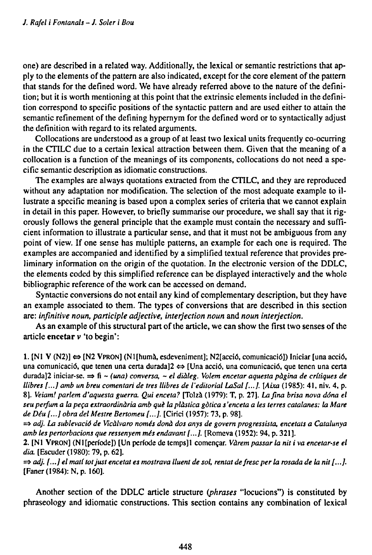one) are described in a related way. Additionally, the lexical or semantic restrictions that apply to the elements of the pattern are also indicated, except for the core element of the pattern that stands for the defined word. We have already referred above to the nature of the definition; but it is worth mentioning at this point that the extrinsic elements included in the definition correspond to specific positions of the syntactic pattern and are used either to attain the semantic refinement of the defining hypernym for the defined word or to syntactically adjust the definition with regard to its related arguments.

Collocations are understood as a group of at least two lexical units frequently co-ocurring in the CTILC due to a certain lexical attraction between them. Given that the meaning of a collocation is a function of the meanings of its components, collocations do not need a specific semantic description as idiomatic constructions.

The examples are always quotations extracted from the CTILC, and they are reproduced without any adaptation nor modification. The selection of the most adequate example to illustrate a specific meaning is based upon a complex series of criteria that we cannot explain in detail in this paper. However, to briefly summarise our procedure, we shall say that it rigorously follows the general principle that the example must contain the necessary and sufficient information to illustrate a particular sense, and that it must not be ambiguous from any point of view. If one sense has multiple patterns, an example for each one is required. The examples are accompanied and identified by a simplified textual reference that provides preliminary information on the origin of the quotation. In the electronic version of the DDLC, the elements coded by this simplified reference can be displayed interactively and the whole bibliographic reference of the work can be accessed on demand.

Syntactic conversions do not entail any kind of complementary description, but they have an example associated to them. The types of conversions that are described in this section **are:** *infinitive noun, participle adjective, interjection noun* **and** *noun interjection.*

As an example of this structural part of the article, we can show the first two senses of the article encetar v 'to begin':

1. [N1 V (N2)]  $\Leftrightarrow$  [N2 VPRON] (N1[humà, esdeveniment]; N2[acció, comunicació]) Iniciar [una acció, una comunicació, que tenen una certa durada]2 ⇔ [Una acció, una comunicació, que tenen una certa **durada]2 iniciar-se. =\* fi -** *(una) conversa,* **-** *el diàleg. Volem encetar aquesta pàgina de critiques de* Ilibres [...] amb un breu comentari de tres Ilibres de l'editorial LaSal [...]. [Aixa (1985): 41, niv. 4, p. 8]. Veiam! parlem d'aquesta guerra. Qui enceta? [Tolzà (1979): T, p. 27]. La fina brisa nova dóna el *seuperfum a la peça extraordinària amb què la plàstica gòtica s'enceta a les Ierres catalanes: la Mare de Déu [...] obra del Mestre Bertomeu [...].* **[Cilici (1957): 73, p. 98].**

**=\*** *adj. La sublevado de Vicàlvaro només dona dos anys de govern progressista, encetais a Catalunya amb les pertorbacions que ressenyem més endavant [...].* **[Romeva (1952): 94, p. 321 ].**

2. [Nl VPRON] (NI [periode]) [Un periode de temps]l començar. *Vàrem passar la nit i va encetar-se el dia.* [Escuder (1980): 79, p. 62].

 $\Rightarrow$  adj. [...] el matí tot just encetat es mostrava lluent de sol, rentat de fresc per la rosada de la nit [...]. [Faner (1984): N, p. 160].

Another section of the DDLC article structure *(phrases* "locucions") is constituted by phraseology and idiomatic constructions. This section contains any combination of lexical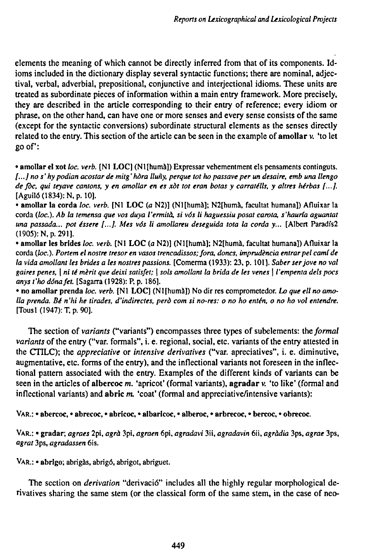elements the meaning of which cannot be directly inferred from that of its components. Idioms included in the dictionary display several syntactic functions; there are nominal, adjectival, verbal, adverbial, prepositional, conjunctive and interjectional idioms. These units are treated as subordinate pieces of information within a main entry framework. More precisely, they are described in the article corresponding to their entry of reference; every idiom or phrase, on the other hand, can have one or more senses and every sense consists of the same (except for the syntactic conversions) subordinate structural elements as the senses directly related to the entry. This section of the article can be seen in the example of amollar v. 'to let goof:

• amollar el xot *loc. verb.* [Nl LOC] (NI [humà]) Expressar vehementment els pensaments continguts. [...] no s' hy podian acostar de mitg' hòra lluñy, perque tot ho passave per un desaire, emb una llengo de fòc, qui teyave cantons, y en amollar en es xòt tot eran botas y carratélls, y altres hérbas [...]. [Aguiló (1834): N, p. 10].

• amollar la corda *loc. verb.* [NI LOC *(a* N2)] (Nl[humà]; N2[humà, facultat humana]) Afluixar la **corda** *(loe). Ab la temensa que vos duya l'ermità, si vós li haguessiu posat carota, s'haurla aguantat una passada... pot ¿ssere [...J. Mes vós li amollareu deseguida tota la corda y...* **[Albert Paradfs2** (1905): N.p. 291].

• amollar les brides *loc. verb.* [Nl LOC *(a* N2)] (Nl[humà]; N2[humà, facultat humana]) Afluixar la **corda** *(loc). Portem el nostre tresor en vasos trencadissos;fora, dones, imprudencia entrar pel carni de* la vida amollant les brides a les nostres passions. [Comerma (1933): 23, p. 101]. Saber ser jove no val gaires penes, | ni té mèrit que deixi satisfet; | sols amollant la brida de les venes | l'empenta dels pocs *anys t'ho dónafet.* [Sagarra (1928): P, p. 186].

• no amollar prenda *loc. verb.* [NI LOC] (NI [humà]) No dir res comprometedor. *Lo que ell no amo*lla prenda. Bé n'hi he tirades, d'indirectes, però com si no-res: o no ho entén, o no ho vol entendre. [Tous1 (1947): T, p. 90].

The section *of variants* ("variants") encompasses three types of subelements: *lhe formal variants* of the entry ("var. formais", i. e. regional, social, etc. variants of the entry attested in the CTILC); the *appreciative* or *intensive derivatives* ("var. apreciatives", i. e. diminutive, augmentative, etc. forms of the entry), and the inflectional variants not foreseen in the inflectional pattern associated with the entry. Examples of the different kinds of variants can be seen in the articles of albercoc  $m$ . 'apricot' (formal variants), agradar  $v$ . 'to like' (formal and inflectional variants) and abric m. 'coat' (formal and appreciative/intensive variants):

VAR.: • abercoc, • abrecoc, • abricoc, • albarlcoc, • alberoc, • arbrecoc, • bercoc, • obrecoc.

**VAR.: • gradar;** *agraes* **2pi,** *agra* **3pi,** *agraen* **6pi,** *agradavi* **3ii,** *agradavin* **6ii,** *agràdia* **3ps,** *agrae* **3ps,** *agrat* **3ps,** *agradassen* **6is.**

VAR.: • abrigo; abrigas, abrigó, abrigot, abriguet.

The section on *derivation* "derivació" includes all the highly regular morphological derivatives sharing the same stem (or the classical form of the same stem, in the case of neo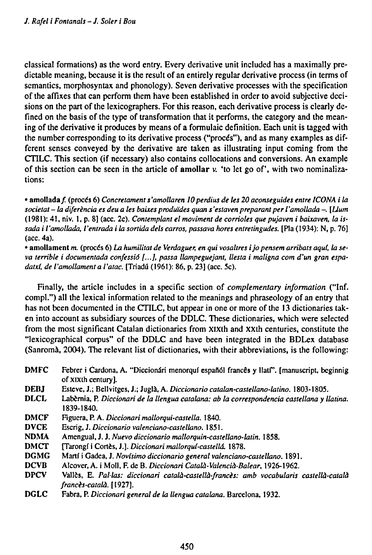classical formations) as the word entry. Every derivative unit included has a maximally predictable meaning, because it is the result of an entirely regular derivative process (in terms of semantics, morphosyntax and phonology). Seven derivative processes with the specification of the affixes that can perform them have been established in order to avoid subjective decisions on the part of the lexicographers. For this reason, each derivative process is clearly defined on the basis of the type of transformation that it performs, the category and the meaning of the derivative it produces by means of **a** formulaic definition. Each unit is tagged with the number corresponding to its derivative process ("procés"), and as many examples as different senses conveyed by the derivative are taken as illustrating input coming from the CTILC. This section (if necessary) also contains collocations and conversions. An example of this section can be seen in the article of **amollar** v. 'to let go of, with two nominalizations:

• amollada/ (procés 6) *Concretamela ¡'amollaren 10perdias de les 20 aconseguides entre ICONA i la societal- la diferencia es deu <sup>a</sup> les baixes produ'ides quan s'estoven preparant per l'amollada -. [Uum* (1981): 41, niv. 1, p. 8] (acc. 2c). *Contemplant el moviment de corrióles que pujaven i baixaven, la issada i ¡'amollada, l'entrada i la sortida dels carros, passava hores entretingudes.* [Pía (1934): N, p. 76] (acc. 4a).

• amollament *m.* (procés 6) *La humilitat de Verdaguer, en qui vosaltres ijo pensem arribáis aqui, la seva terrible i documentada confessió [...], passa llampeguejant, tiesta i maligna com d'un gran espadatxí, de l'amollament a l'atac.* [Triadú (1961): 86, p. 23] (acc. 5c).

Finally, the article includes in a specific section of *complementary information* ("Inf. compi.") all the lexical information related to the meanings and phraseology of an entry that has not been documented in the CTILC, but appear in one or more of the 13 dictionaries taken into account as subsidiary sources of the DDLC. These dictionaries, which were selected from the most significant Catalan dictionaries from xixth and xxth centuries, constitute the "lexicographical corpus" of the DDLC and have been integrated in the BDLex database (Sanromà, 2004). The relevant list of dictionaries, with their abbreviations, is the following:

- DMFC Febrer i Cardona, A. "Diccionári menorquí españól francês y llatí". [manuscript, beginnig of xixth century].
- DEBJ Esteve, J.; Bellvitges, J.; Juglà, A. *Diccionario catalan-castellano-latino.* 1803-1805.
- DLCL Labèrnia, P. *Diccionári de la ¡lengua catalana: ab la correspondencia castellana y Ilatina.* 1839-1840.
- DMCF Figuera, P. A. *Diccionári maüorqui-casteüa.* 1840.
- DVCE Escrig, J. *Diccionario valenciano-castellano.* 1851.
- Amengual, J. J. *Nuevo diccionario mallorquin-castellano-latin.* 1858.
- DMCT [Tarongí <sup>i</sup> Cortés, J.]. *Diccionári maUorqul-casteüá.* 1878.
- DGMG Martí <sup>i</sup> Gadca, J. *Novísimo diccionario generai valenciano-castellano.* 1891.
- DCVB Alcover, A. <sup>i</sup> Moll, F. de B. *Diccionári Català-Valencià-Balear,* 1926-1962.
- DPCV Valles, E. *Pal-las: diccionári català-castellà-francés: amb vocabularis castellà-català francès-català.* [1927].
- DGLC Fabra, P. *Diccionári general de la ¡lengua catalana.* Barcelona, 1932.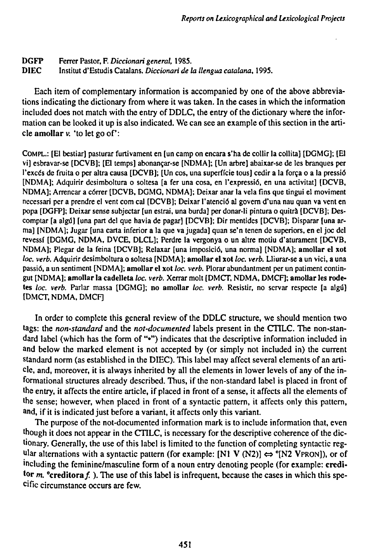## **DGFP Ferrer Pastor, F.** *Diccionari general,* **1985. DIEC Institut d'Estudis Catalans.** *Diccionari de la ¡lengua catalana,* **1995.**

**Each item of complementary information is accompanied by one of the above abbreviations indicating the dictionary from where it was taken. In the cases in which the information included does not match with the entry of DDLC, the entry of the dictionary where the infor**mation can be looked it up is also indicated. We can see an example of this section in the arti**cle amollar v. 'to let go of:**

COMPL.: [El bestiar] pasturar furtivament en [un camp on encara s'ha de collir la collita] [DGMG]; [El **vi] esbravar-se [DCVB]; [El temps] abonançar-se [NDMA]; [Un arbre] abaixar-se de les branques per** l'excés de fruita o per altra causa [DCVB]; [Un cos, una superfície tous] cedir a la força o a la pressió **[NDMA]; Adquirir dcsimboltura o soltesa [a fer una cosa, en l'expressió, en una activitat] [DCVB, NDMA]; Arrancar a córrer [DCVB, DGMG, NDMA]; Deixar anar la vela fins que tingui el moviment** necessari per a prendre el vent com cal [DCVB]; Deixar l'atenció al govern d'una nau quan va vent en **popa [DGFP]; Deixar sense subjectar [un estrai, una burda] per donar-li pintura o quitrà [DCVB]; Descomptar [a algú] [una part del que havia de pagar] [DCVB]; Dir mentides [DCVB]; Disparar [una ar**ma] [NDMA]; Jugar [una carta inferior a la que va jugada] quan se'n tenen de superiors, en el joc del **revessí [DGMG, NDMA, DVCE, DLCL]; Perdre la vergonya o un altre motiu d'aturament [DCVB, NDMA]; Plegar de la feina [DCVB]; Relaxar [una imposició, una norma] [NDMA]; amollar el xot** loc. verb. Adquirir desimboltura o soltesa [NDMA]; amollar el xot loc. verb. Lliurar-se a un vici, a una **passio, a un sentiment [NDMA]; amollar el xot** *loc. verb.* **Plorar abundantment per un patiment contingut [NDMA]; amollar la cadelleta** *loc. verb.* **Xerrar molt [DMCT, NDMA, DMCF]; amollar les rodetes** *loc. verb.* **Parlar massa [DGMG]; no amollar** *loc. verb.* **Resistir, no servar respecte [a algú] [DMCT, NDMA, DMCF]**

**In order to complete this general review of the DDLC structure, we should mention two tags: the** *non-standard* **and the** *not-documented* **labels present in the CTILC. The non-standard label (which has the form of "•") indicates that the descriptive information included in and below the marked element is not accepted by (or simply not included in) the current standard norm (as established in the DIEC). This label may affect several elements of an arti**cle, and, moreover, it is always inherited by all the elements in lower levels of any of the in**formational structures already described. Thus, if the non-standard label is placed in front of** the entry, it affects the entire article, if placed in front of a sense, it affects all the elements of **the sense; however, when placed in front of a syntactic pattern, it affects only this pattern, and, if it is indicated just before a variant, it affects only this variant.**

**The purpose of the not-documented information mark is to include information that, even though it does not appear in the CTILC, is necessary for the descriptive coherence of the dictionary. Generally, the use of this label is limited to the function of completing syntactic regular** alternations with a syntactic pattern (for example:  $[N1 \text{ V} (N2)] \Leftrightarrow {}^{\circ}[N2 \text{ VPRON}])$ , or of **including the feminine/masculine form of a noun entry denoting people (for example: creditor** *m.* **"erediterà/ ). The use of this label is infrequent, because the cases in which this specific circumstance occurs are few.**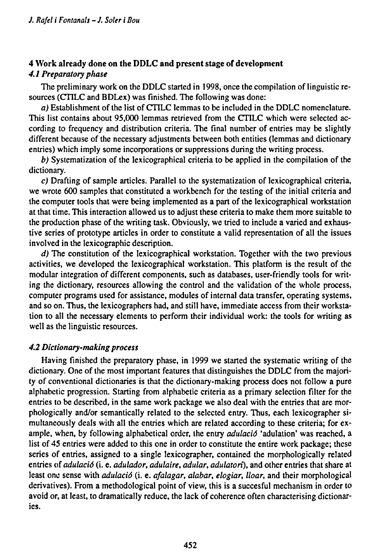# 4 Work already done on the DDLC and present stage of development *4.1 Preparatory phase*

The preliminary work on the DDLC started in 1998, once the compilation of linguistic resources (CTILC and BDLex) was finished. The following was done:

*a)* Establishment of the list of CTILC lemmas to be included in the DDLC nomenclature. This list contains about 95,000 lemmas retrieved from the CTILC which were selected according to frequency and distribution criteria. The final number of entries may be slightly different because of the necessary adjustments between both entities (lemmas and dictionary entries) which imply some incorporations or suppressions during the writing process.

*b)* Systematization of the lexicographical criteria to be applied in the compilation of the dictionary.

*c)* Drafting of sample articles. Parallel to the systematization of lexicographical criteria, we wrote 600 samples that constituted a workbench for the testing of the initial criteria and the computer tools that were being implemented as a part of the lexicographical workstation at that time. This interaction allowed us to adjust these criteria to make them more suitable to the production phase of the writing task. Obviously, we tried to include a varied and exhaustive series of prototype articles in order to constitute a valid representation of all the issues involved in the lexicographic description.

*d)* The constitution of the lexicographical workstation. Together with the two previous activities, we developed the lexicographical workstation. This platform is the result of the modular integration of different components, such as databases, user-friendly tools for writing the dictionary, resources allowing the control and the validation of the whole process, computer programs used for assistance, modules of internal data transfer, operating systems, and so on. Thus, the lexicographers had, and still have, immediate access from their workstation to all the necessary elements to perform their individual work: the tools for writing as well as the linguistic resources.

# *4.2 Dictionary-makingprocess*

Having finished the preparatory phase, in 1999 we started the systematic writing of the dictionary. One of the most important features that distinguishes the DDLC from the majority of conventional dictionaries is that the dictionary-making process does not follow a pure alphabetic progression. Starting from alphabetic criteria as a primary selection filter for the entries to be described, in the same work package we also deal with the entries that are morphologically and/or semantically related to the selected entry. Thus, each lexicographer simultaneously deals with all the entries which are related according to these criteria; for example, when, by following alphabetical order, the entry *adulació* 'adulation' was reached, a list of 45 entries were added to this one in order to constitute the entire work package; these series of entries, assigned to a single lexicographer, contained the morphologically related entries *oí adulado* (i. e. *adulador, adulaire, adular, adulatori),* and other entries that share at least one sense with *adulació* (i. e. *afalagar*, *alabar*, *elogiar*, *lloar*, and their morphological derivatives). From a methodological point of view, this is a succesful mechanism in order to avoid or, at least, to dramatically reduce, the lack of coherence often characterising dictionaries.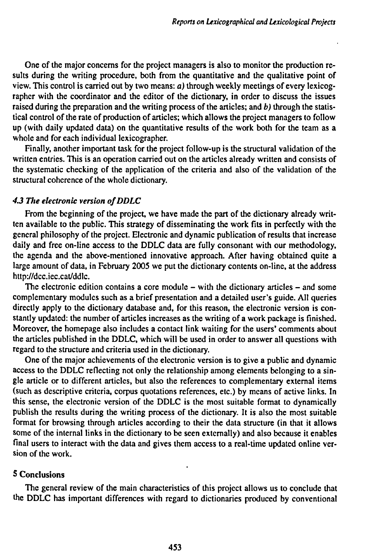**One of the major concerns for the project managers is also to monitor the production results during the writing procedure, both from the quantitative and the qualitative point of view. This control is carried out by two means:** *a)* **through weekly meetings of every lexicographer with the coordinator and the editor of the dictionary, in order to discuss the issues raised during the preparation and the writing process of the articles; and** *b)* **through the statistical control of the rate of production of articles; which allows the project managers to follow up (with daily updated data) on the quantitative results of the work both for the team as a whole and for each individual lexicographer.**

**Finally, another important task for the project follow-up is the structural validation of the written entries. This is an operation carried out on the articles already written and consists of the systematic checking of the application of the criteria and also of the validation of the structural coherence of the whole dictionary.**

### *4.3 The electronic version ofDDLC*

**From the beginning of the project, we have made the part of the dictionary already written available to the public. This strategy of disseminating the work fits in perfectly with the general philosophy of the project. Electronic and dynamic publication of results that increase daily and free on-line access to the DDLC data are fully consonant with our methodology, the agenda and the above-mentioned innovative approach. After having obtained quite a large amount of data, in February 2005 we put the dictionary contents on-line, at the address http://dcc.iec.cat/ddlc.**

**The electronic edition contains <sup>a</sup> core module - with the dictionary articles - and some complementary modules such as a brief presentation and a detailed user's guide. All queries directly apply to the dictionary database and, for this reason, the electronic version is constantly updated: the number of articles increases as the writing of a work package is finished. Moreover, the homepage also includes a contact link waiting for the users' comments about the articles published in the DDLC, which will be used in order to answer all questions with regard to the structure and criteria used in the dictionary.**

**One of the major achievements of the electronic version is to give a public and dynamic access to the DDLC reflecting not only the relationship among elements belonging to a single article or to different articles, but also the references to complementary external items (such as descriptive criteria, corpus quotations references, etc.) by means of active links. In this sense, the electronic version of the DDLC is the most suitable format to dynamically publish the results during the writing process of the dictionary. It is also the most suitable format for browsing through articles according to their the data structure (in that it allows some of the internal links in the dictionary to be seen externally) and also because it enables final users to interact with the data and gives them access to a real-time updated online version of the work.**

# **5 Conclusions**

**The general review of the main characteristics of this project allows us to conclude that the DDLC has important differences with regard to dictionaries produced by conventional**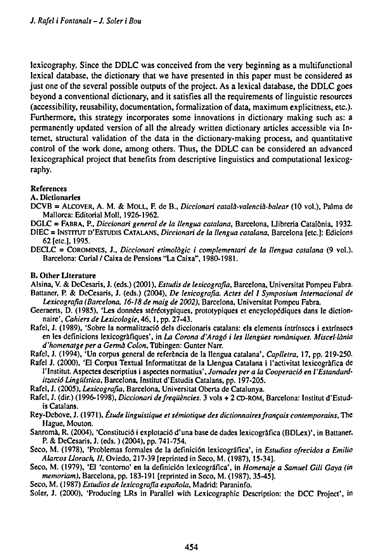lexicography. Since the DDLC was conceived from the very beginning as a multifunctional lexical database, the dictionary that we have presented in this paper must be considered as just one of the several possible outputs of the project. As a lexical database, the DDLC goes beyond a conventional dictionary, and it satisfies all the requirements of linguistic resources (accessibility, reusability, documentation, formalization of data, maximum explicitness, etc.). Furthermore, this strategy incorporates some innovations in dictionary making such as: a permanently updated version of all the already written dictionary articles accessible via Internet, structural validation of the data in the dictionary-making process, and quantitative control of the work done, among others. Thus, the DDLC can be considered an advanced lexicographical project that benefits from descriptive linguistics and computational lexicography.

### References

A. Dictionaries

- DCVB = ALCOVER, A. M. & MOLL, F. de B., *Diccionari català-valencià-balear* (10 vol.), Palma de Mallorca: Editorial Moll, 1926-1962.
- DGLC = FABRA, P., *Diccionari general de la ¡lengua catalana,* Barcelona, Llibreria Catalonia, 1932.
- DIEC = INSTITUT D'ESTUDIS CATALANS, *Diccionari de la llengua catalana,* Barcelona [etc.]: Edicions 62 [etc.], 1995.
- DECLC = COROMINES, J., *Diccionari etimologie i complementari de la llengua catalana* (9 vol.). Barcelona: Curial / Caixa de Pensions "La Caixa", 1980-1981.

### B. Other Literature

Alsina, V. & DeCesaris, J. (eds.) (2001), *Estudis de lexicografia,* Barcelona, Universität Pompeu Fabra. Battaner, P. & DeCesaris, J. (eds.) (2004), *De lexicografia. Actes del 1 Symposium Internacional de Lexicografia (Barcelona, 16-18 de maig de 2002),* Barcelona, Universität Pompeu Fabra.

- Geeraerts, D. (1985), 'Les données stéréotypiques, prototypiques et encyclopédiques dans le dictionnaire', *Cahiers de Lexicologie,* 46,1, pp. 27-43.
- Rafei, J. (1989), 'Sobre la normalització dels diccionaris Catalans: els elements intrínsecs <sup>i</sup> extrínsecs en les definicions lexicogràfiques', in *La Corona d'Aragó i les llengües romàniques. Miscellània d'homenatge per a Germà Colon,* Tübingen: Gunter Narr.

Rafei, J. (1994), 'Un corpus general de referencia de la llengua catalana', *Caplletra,* 17, pp. 219-250.

- Rafei J. (2000), 'El Corpus Textual Informatitzat de la Llengua Catalana i l'activitat lexicográfica de l'Institut. Aspectes descriptius i aspectes normatius', Jornades per a la Cooperació en l'Estandard*ització Lingüística,* Barcelona, Institut d'Estudis Catalans, pp. 197-205.
- Rafei, J. (2005), *Lexicografia,* Barcelona, Universität Oberta de Catalunya.
- Rafei, J. (dir.) (1996-1998), *Diccionari de frequencies.* 3 vols + 2 CD-ROM, Barcelona: Institut d'Estudis Catalans.
- Rey-Debove, J. (1971), *Etude linguistique et sémiotique des dictionnairesfrançais contemporains.* The Hague, Mouton.
- Sanroma, R. (2004), 'Constitució <sup>i</sup> explotació d'una base de dades lexicográfica (BDLex)', in Battaner, P. & DeCesaris, J. (eds. ) (2004), pp. 741-754.
- Seco, M. (1978), 'Problemas formales de la definición lexicográfica', in *Estudios ofrecidos a Emilio Atareos Uorach, 11,* Oviedo, 217-39 [reprinted in Seco, M. (1987), 15-34].
- Seco, M. (1979), 'El 'contorno' en la definición lexicográfica', in *Homenaje a Samuel Giti Gaya (in memoriam),* Barcelona, pp. 183-191 [reprinted in Seco, M. (1987), 35-45].
- Seco, M. (1987) *Estudios de lexicografía española,* Madrid: Paraninfo.
- Soler, J. (2000), 'Producing LRs in Parallel with Lexicographic Description: the DCC Project', in